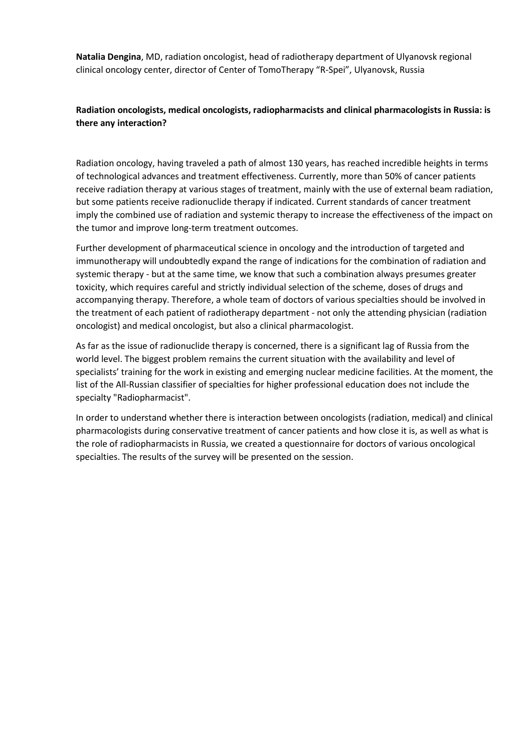**Natalia Dengina**, MD, radiation oncologist, head of radiotherapy department of Ulyanovsk regional clinical oncology center, director of Center of TomoTherapy "R-Spei", Ulyanovsk, Russia

## **Radiation oncologists, medical oncologists, radiopharmacists and clinical pharmacologists in Russia: is there any interaction?**

Radiation oncology, having traveled a path of almost 130 years, has reached incredible heights in terms of technological advances and treatment effectiveness. Currently, more than 50% of cancer patients receive radiation therapy at various stages of treatment, mainly with the use of external beam radiation, but some patients receive radionuclide therapy if indicated. Current standards of cancer treatment imply the combined use of radiation and systemic therapy to increase the effectiveness of the impact on the tumor and improve long-term treatment outcomes.

Further development of pharmaceutical science in oncology and the introduction of targeted and immunotherapy will undoubtedly expand the range of indications for the combination of radiation and systemic therapy - but at the same time, we know that such a combination always presumes greater toxicity, which requires careful and strictly individual selection of the scheme, doses of drugs and accompanying therapy. Therefore, a whole team of doctors of various specialties should be involved in the treatment of each patient of radiotherapy department - not only the attending physician (radiation oncologist) and medical oncologist, but also a clinical pharmacologist.

As far as the issue of radionuclide therapy is concerned, there is a significant lag of Russia from the world level. The biggest problem remains the current situation with the availability and level of specialists' training for the work in existing and emerging nuclear medicine facilities. At the moment, the list of the All-Russian classifier of specialties for higher professional education does not include the specialty "Radiopharmacist".

In order to understand whether there is interaction between oncologists (radiation, medical) and clinical pharmacologists during conservative treatment of cancer patients and how close it is, as well as what is the role of radiopharmacists in Russia, we created a questionnaire for doctors of various oncological specialties. The results of the survey will be presented on the session.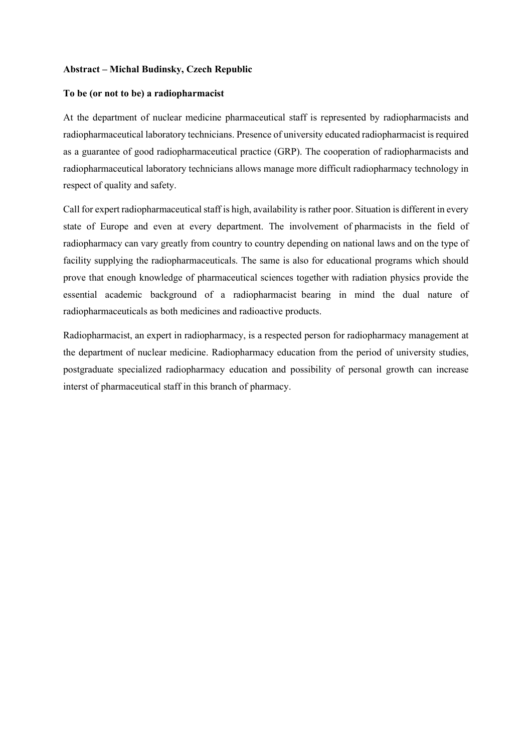## **Abstract – Michal Budinsky, Czech Republic**

## **To be (or not to be) a radiopharmacist**

At the department of nuclear medicine pharmaceutical staff is represented by radiopharmacists and radiopharmaceutical laboratory technicians. Presence of university educated radiopharmacist is required as a guarantee of good radiopharmaceutical practice (GRP). The cooperation of radiopharmacists and radiopharmaceutical laboratory technicians allows manage more difficult radiopharmacy technology in respect of quality and safety.

Call for expert radiopharmaceutical staff is high, availability is rather poor. Situation is different in every state of Europe and even at every department. The involvement of pharmacists in the field of radiopharmacy can vary greatly from country to country depending on national laws and on the type of facility supplying the radiopharmaceuticals. The same is also for educational programs which should prove that enough knowledge of pharmaceutical sciences together with radiation physics provide the essential academic background of a radiopharmacist bearing in mind the dual nature of radiopharmaceuticals as both medicines and radioactive products.

Radiopharmacist, an expert in radiopharmacy, is a respected person for radiopharmacy management at the department of nuclear medicine. Radiopharmacy education from the period of university studies, postgraduate specialized radiopharmacy education and possibility of personal growth can increase interst of pharmaceutical staff in this branch of pharmacy.